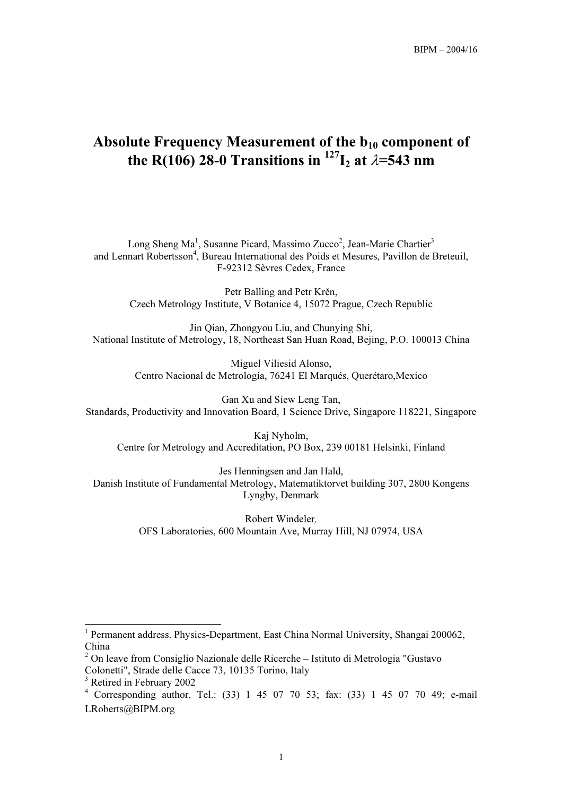# Absolute Frequency Measurement of the  $b_{10}$  component of the R(106) 28-0 Transitions in  $^{127}I_2$  at  $\lambda$ =543 nm

Long Sheng Ma<sup>1</sup>, Susanne Picard, Massimo Zucco<sup>2</sup>, Jean-Marie Chartier<sup>3</sup> and Lennart Robertsson<sup>4</sup>, Bureau International des Poids et Mesures, Pavillon de Breteuil, F-92312 Sèvres Cedex, France

Petr Balling and Petr Krěn, Czech Metrology Institute, V Botanice 4, 15072 Prague, Czech Republic

Jin Qian, Zhongyou Liu, and Chunying Shi, National Institute of Metrology, 18, Northeast San Huan Road, Bejing, P.O. 100013 China

> Miguel Viliesid Alonso, Centro Nacional de Metrología, 76241 El Marqués, Querétaro,Mexico

Gan Xu and Siew Leng Tan, Standards, Productivity and Innovation Board, 1 Science Drive, Singapore 118221, Singapore

Kaj Nyholm, Centre for Metrology and Accreditation, PO Box, 239 00181 Helsinki, Finland

Jes Henningsen and Jan Hald, Danish Institute of Fundamental Metrology, Matematiktorvet building 307, 2800 Kongens Lyngby, Denmark

> Robert Windeler, OFS Laboratories, 600 Mountain Ave, Murray Hill, NJ 07974, USA

l

<sup>&</sup>lt;sup>1</sup> Permanent address. Physics-Department, East China Normal University, Shangai 200062, China

 $2$  On leave from Consiglio Nazionale delle Ricerche – Istituto di Metrologia "Gustavo Colonetti", Strade delle Cacce 73, 10135 Torino, Italy

<sup>&</sup>lt;sup>3</sup> Retired in February 2002

<sup>4</sup> Corresponding author. Tel.: (33) 1 45 07 70 53; fax: (33) 1 45 07 70 49; e-mail LRoberts@BIPM.org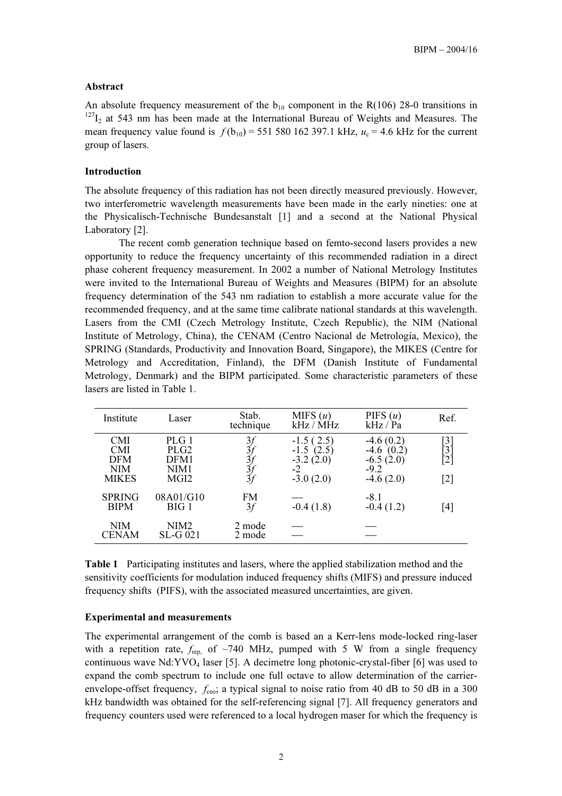## Abstract

An absolute frequency measurement of the  $b_{10}$  component in the R(106) 28-0 transitions in  $127$ <sub>I2</sub> at 543 nm has been made at the International Bureau of Weights and Measures. The mean frequency value found is  $f(b_{10})$  = 551 580 162 397.1 kHz,  $u_c$  = 4.6 kHz for the current group of lasers.

#### Introduction

The absolute frequency of this radiation has not been directly measured previously. However, two interferometric wavelength measurements have been made in the early nineties: one at the Physicalisch-Technische Bundesanstalt [1] and a second at the National Physical Laboratory [2].

The recent comb generation technique based on femto-second lasers provides a new opportunity to reduce the frequency uncertainty of this recommended radiation in a direct phase coherent frequency measurement. In 2002 a number of National Metrology Institutes were invited to the International Bureau of Weights and Measures (BIPM) for an absolute frequency determination of the 543 nm radiation to establish a more accurate value for the recommended frequency, and at the same time calibrate national standards at this wavelength. Lasers from the CMI (Czech Metrology Institute, Czech Republic), the NIM (National Institute of Metrology, China), the CENAM (Centro Nacional de Metrología, Mexico), the SPRING (Standards, Productivity and Innovation Board, Singapore), the MIKES (Centre for Metrology and Accreditation, Finland), the DFM (Danish Institute of Fundamental Metrology, Denmark) and the BIPM participated. Some characteristic parameters of these lasers are listed in Table 1.

| Institute                                                            | Laser                                             | Stab.<br>technique         | MIFS $(u)$<br>kHz / MHz                                        | PIFS $(u)$<br>kHz / Pa                                             | Ref.                   |
|----------------------------------------------------------------------|---------------------------------------------------|----------------------------|----------------------------------------------------------------|--------------------------------------------------------------------|------------------------|
| <b>CMI</b><br><b>CMI</b><br><b>DFM</b><br><b>NIM</b><br><b>MIKES</b> | PLG 1<br>PLG <sub>2</sub><br>DFM1<br>NIM1<br>MGI2 | 3f<br>31<br>31<br>31<br>31 | $-1.5(2.5)$<br>$-1.5(2.5)$<br>$-3.2(2.0)$<br>-2<br>$-3.0(2.0)$ | $-4.6(0.2)$<br>$-4.6(0.2)$<br>$-6.5(2.0)$<br>$-9.2$<br>$-4.6(2.0)$ | [3<br>[3<br>'2]<br>[2] |
| <b>SPRING</b><br><b>BIPM</b>                                         | 08A01/G10<br>BIG 1                                | FM<br>3f                   | $-0.4(1.8)$                                                    | $-8.1$<br>$-0.4(1.2)$                                              | [4]                    |
| NIM<br><b>CENAM</b>                                                  | NIM <sub>2</sub><br>SL-G 021                      | 2 mode<br>2 mode           |                                                                |                                                                    |                        |

Table 1 Participating institutes and lasers, where the applied stabilization method and the sensitivity coefficients for modulation induced frequency shifts (MIFS) and pressure induced frequency shifts (PIFS), with the associated measured uncertainties, are given.

#### Experimental and measurements

The experimental arrangement of the comb is based an a Kerr-lens mode-locked ring-laser with a repetition rate,  $f_{\text{rep}}$  of  $\sim$  740 MHz, pumped with 5 W from a single frequency continuous wave  $Nd:YVO<sub>4</sub>$  laser [5]. A decimetre long photonic-crystal-fiber [6] was used to expand the comb spectrum to include one full octave to allow determination of the carrierenvelope-offset frequency,  $f_{ceo}$ ; a typical signal to noise ratio from 40 dB to 50 dB in a 300 kHz bandwidth was obtained for the self-referencing signal [7]. All frequency generators and frequency counters used were referenced to a local hydrogen maser for which the frequency is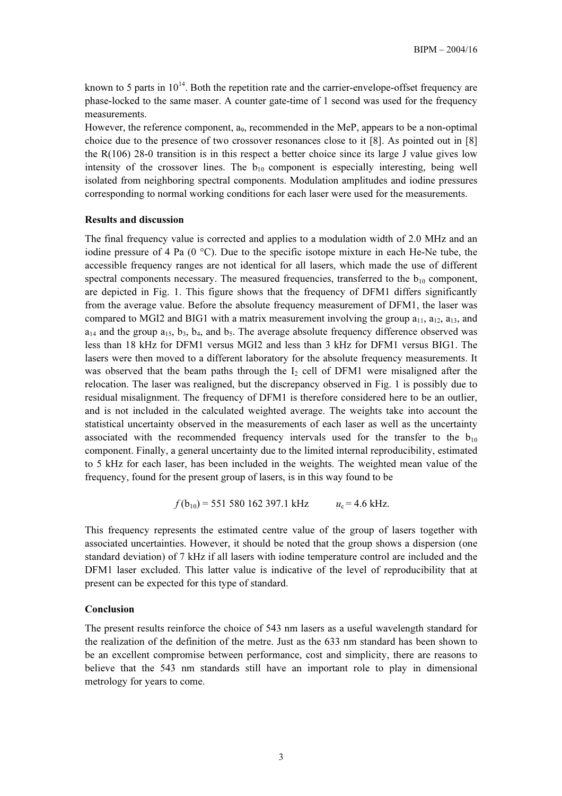known to 5 parts in  $10^{14}$ . Both the repetition rate and the carrier-envelope-offset frequency are phase-locked to the same maser. A counter gate-time of 1 second was used for the frequency measurements.

However, the reference component, a<sub>9</sub>, recommended in the MeP, appears to be a non-optimal choice due to the presence of two crossover resonances close to it [8]. As pointed out in [8] the R(106) 28-0 transition is in this respect a better choice since its large J value gives low intensity of the crossover lines. The  $b_{10}$  component is especially interesting, being well isolated from neighboring spectral components. Modulation amplitudes and iodine pressures corresponding to normal working conditions for each laser were used for the measurements.

### Results and discussion

The final frequency value is corrected and applies to a modulation width of 2.0 MHz and an iodine pressure of 4 Pa (0 °C). Due to the specific isotope mixture in each He-Ne tube, the accessible frequency ranges are not identical for all lasers, which made the use of different spectral components necessary. The measured frequencies, transferred to the  $b_{10}$  component, are depicted in Fig. 1. This figure shows that the frequency of DFM1 differs significantly from the average value. Before the absolute frequency measurement of DFM1, the laser was compared to MGI2 and BIG1 with a matrix measurement involving the group  $a_{11}$ ,  $a_{12}$ ,  $a_{13}$ , and  $a_{14}$  and the group  $a_{15}$ ,  $b_3$ ,  $b_4$ , and  $b_5$ . The average absolute frequency difference observed was less than 18 kHz for DFM1 versus MGI2 and less than 3 kHz for DFM1 versus BIG1. The lasers were then moved to a different laboratory for the absolute frequency measurements. It was observed that the beam paths through the  $I_2$  cell of DFM1 were misaligned after the relocation. The laser was realigned, but the discrepancy observed in Fig. 1 is possibly due to residual misalignment. The frequency of DFM1 is therefore considered here to be an outlier, and is not included in the calculated weighted average. The weights take into account the statistical uncertainty observed in the measurements of each laser as well as the uncertainty associated with the recommended frequency intervals used for the transfer to the  $b_{10}$ component. Finally, a general uncertainty due to the limited internal reproducibility, estimated to 5 kHz for each laser, has been included in the weights. The weighted mean value of the frequency, found for the present group of lasers, is in this way found to be

$$
f(b_{10}) = 551\,580\,162\,397.1\,\text{kHz}
$$
  $u_c = 4.6\,\text{kHz}.$ 

This frequency represents the estimated centre value of the group of lasers together with associated uncertainties. However, it should be noted that the group shows a dispersion (one standard deviation) of 7 kHz if all lasers with iodine temperature control are included and the DFM1 laser excluded. This latter value is indicative of the level of reproducibility that at present can be expected for this type of standard.

# Conclusion

The present results reinforce the choice of 543 nm lasers as a useful wavelength standard for the realization of the definition of the metre. Just as the 633 nm standard has been shown to be an excellent compromise between performance, cost and simplicity, there are reasons to believe that the 543 nm standards still have an important role to play in dimensional metrology for years to come.